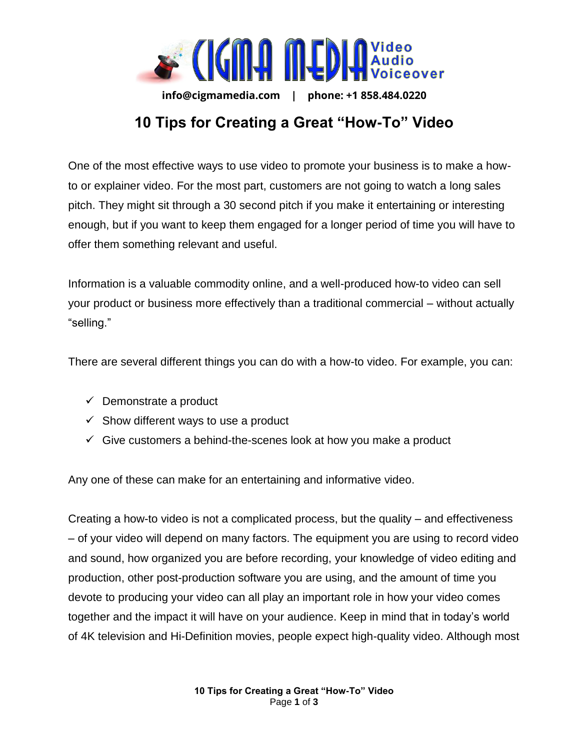

**info@cigmamedia.com | phone: +1 858.484.0220** 

## **10 Tips for Creating a Great "How-To" Video**

One of the most effective ways to use video to promote your business is to make a howto or explainer video. For the most part, customers are not going to watch a long sales pitch. They might sit through a 30 second pitch if you make it entertaining or interesting enough, but if you want to keep them engaged for a longer period of time you will have to offer them something relevant and useful.

Information is a valuable commodity online, and a well-produced how-to video can sell your product or business more effectively than a traditional commercial – without actually "selling."

There are several different things you can do with a how-to video. For example, you can:

- $\checkmark$  Demonstrate a product
- $\checkmark$  Show different ways to use a product
- $\checkmark$  Give customers a behind-the-scenes look at how you make a product

Any one of these can make for an entertaining and informative video.

Creating a how-to video is not a complicated process, but the quality – and effectiveness – of your video will depend on many factors. The equipment you are using to record video and sound, how organized you are before recording, your knowledge of video editing and production, other post-production software you are using, and the amount of time you devote to producing your video can all play an important role in how your video comes together and the impact it will have on your audience. Keep in mind that in today's world of 4K television and Hi-Definition movies, people expect high-quality video. Although most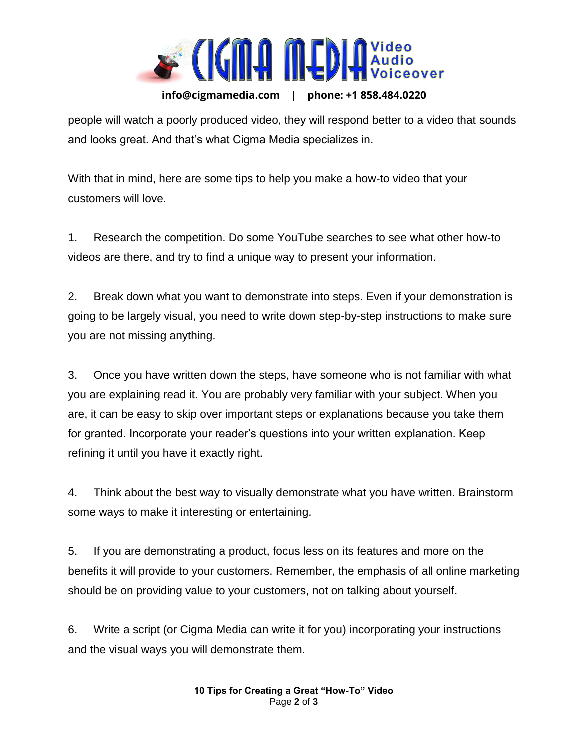

**info@cigmamedia.com | phone: +1 858.484.0220** 

people will watch a poorly produced video, they will respond better to a video that sounds and looks great. And that's what Cigma Media specializes in.

With that in mind, here are some tips to help you make a how-to video that your customers will love.

1. Research the competition. Do some YouTube searches to see what other how-to videos are there, and try to find a unique way to present your information.

2. Break down what you want to demonstrate into steps. Even if your demonstration is going to be largely visual, you need to write down step-by-step instructions to make sure you are not missing anything.

3. Once you have written down the steps, have someone who is not familiar with what you are explaining read it. You are probably very familiar with your subject. When you are, it can be easy to skip over important steps or explanations because you take them for granted. Incorporate your reader's questions into your written explanation. Keep refining it until you have it exactly right.

4. Think about the best way to visually demonstrate what you have written. Brainstorm some ways to make it interesting or entertaining.

5. If you are demonstrating a product, focus less on its features and more on the benefits it will provide to your customers. Remember, the emphasis of all online marketing should be on providing value to your customers, not on talking about yourself.

6. Write a script (or Cigma Media can write it for you) incorporating your instructions and the visual ways you will demonstrate them.